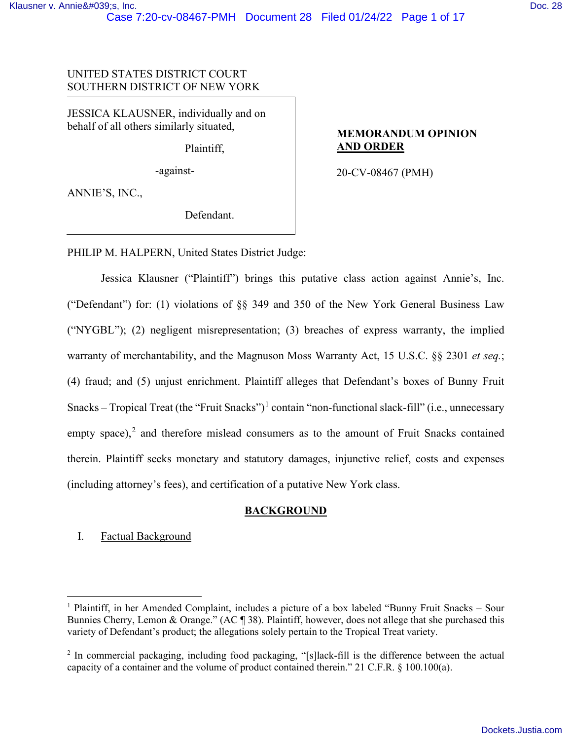## UNITED STATES DISTRICT COURT SOUTHERN DISTRICT OF NEW YORK

JESSICA KLAUSNER, individually and on behalf of all others similarly situated,

Plaintiff,

-against-

**MEMORANDUM OPINION AND ORDER**

20-CV-08467 (PMH)

ANNIE'S, INC.,

Defendant.

PHILIP M. HALPERN, United States District Judge:

Jessica Klausner ("Plaintiff") brings this putative class action against Annie's, Inc. ("Defendant") for: (1) violations of §§ 349 and 350 of the New York General Business Law ("NYGBL"); (2) negligent misrepresentation; (3) breaches of express warranty, the implied warranty of merchantability, and the Magnuson Moss Warranty Act, 15 U.S.C. §§ 2301 *et seq.*; (4) fraud; and (5) unjust enrichment. Plaintiff alleges that Defendant's boxes of Bunny Fruit Snacks – Tropical Treat (the "Fruit Snacks")<sup>[1](#page-0-0)</sup> contain "non-functional slack-fill" (i.e., unnecessary empty space),<sup>[2](#page-0-1)</sup> and therefore mislead consumers as to the amount of Fruit Snacks contained therein. Plaintiff seeks monetary and statutory damages, injunctive relief, costs and expenses (including attorney's fees), and certification of a putative New York class.

# **BACKGROUND**

# I. Factual Background

<span id="page-0-0"></span><sup>1</sup> Plaintiff, in her Amended Complaint, includes a picture of a box labeled "Bunny Fruit Snacks – Sour Bunnies Cherry, Lemon & Orange." (AC ¶ 38). Plaintiff, however, does not allege that she purchased this variety of Defendant's product; the allegations solely pertain to the Tropical Treat variety.

<span id="page-0-1"></span><sup>&</sup>lt;sup>2</sup> In commercial packaging, including food packaging, "[s]lack-fill is the difference between the actual capacity of a container and the volume of product contained therein." 21 C.F.R. § 100.100(a).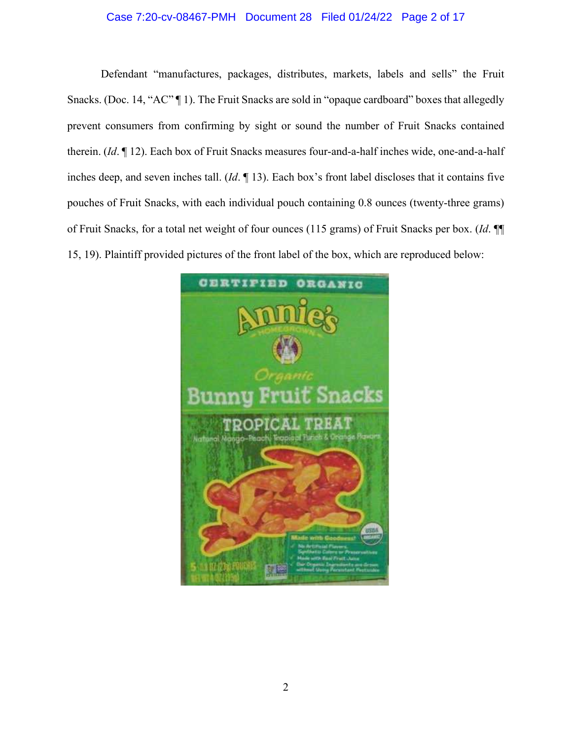# Case 7:20-cv-08467-PMH Document 28 Filed 01/24/22 Page 2 of 17

Defendant "manufactures, packages, distributes, markets, labels and sells" the Fruit Snacks. (Doc. 14, "AC" [1]). The Fruit Snacks are sold in "opaque cardboard" boxes that allegedly prevent consumers from confirming by sight or sound the number of Fruit Snacks contained therein. (*Id*. ¶ 12). Each box of Fruit Snacks measures four-and-a-half inches wide, one-and-a-half inches deep, and seven inches tall. (*Id*. ¶ 13). Each box's front label discloses that it contains five pouches of Fruit Snacks, with each individual pouch containing 0.8 ounces (twenty-three grams) of Fruit Snacks, for a total net weight of four ounces (115 grams) of Fruit Snacks per box. (*Id*. ¶¶ 15, 19). Plaintiff provided pictures of the front label of the box, which are reproduced below:

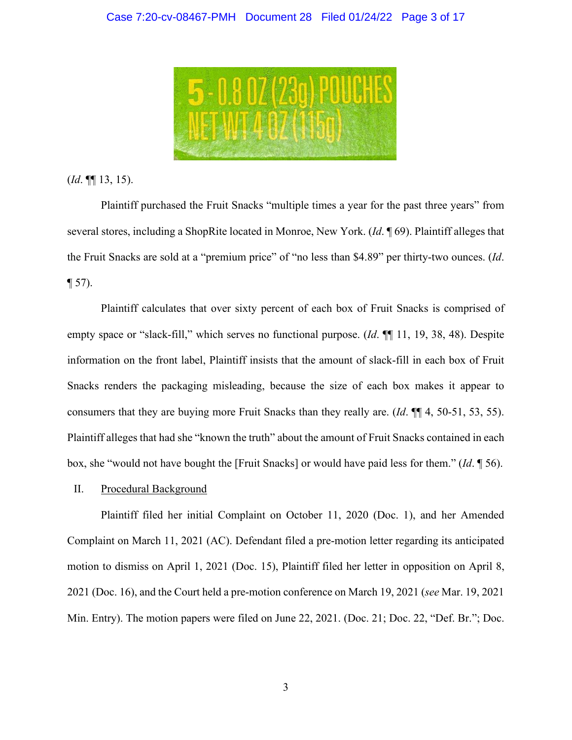

(*Id*. ¶¶ 13, 15).

Plaintiff purchased the Fruit Snacks "multiple times a year for the past three years" from several stores, including a ShopRite located in Monroe, New York. (*Id*. ¶ 69). Plaintiff alleges that the Fruit Snacks are sold at a "premium price" of "no less than \$4.89" per thirty-two ounces. (*Id*.  $\P$  57).

Plaintiff calculates that over sixty percent of each box of Fruit Snacks is comprised of empty space or "slack-fill," which serves no functional purpose. (*Id*. ¶¶ 11, 19, 38, 48). Despite information on the front label, Plaintiff insists that the amount of slack-fill in each box of Fruit Snacks renders the packaging misleading, because the size of each box makes it appear to consumers that they are buying more Fruit Snacks than they really are. (*Id*. ¶¶ 4, 50-51, 53, 55). Plaintiff alleges that had she "known the truth" about the amount of Fruit Snacks contained in each box, she "would not have bought the [Fruit Snacks] or would have paid less for them." (*Id*. ¶ 56).

#### II. Procedural Background

Plaintiff filed her initial Complaint on October 11, 2020 (Doc. 1), and her Amended Complaint on March 11, 2021 (AC). Defendant filed a pre-motion letter regarding its anticipated motion to dismiss on April 1, 2021 (Doc. 15), Plaintiff filed her letter in opposition on April 8, 2021 (Doc. 16), and the Court held a pre-motion conference on March 19, 2021 (*see* Mar. 19, 2021 Min. Entry). The motion papers were filed on June 22, 2021. (Doc. 21; Doc. 22, "Def. Br."; Doc.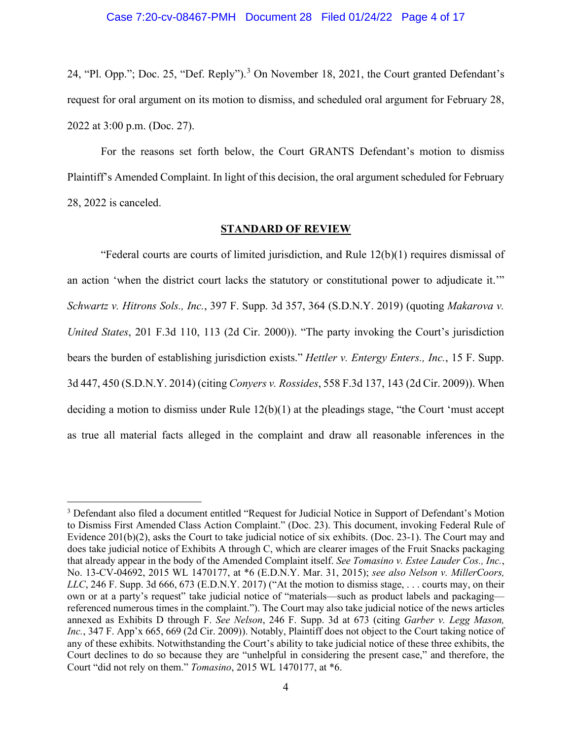24, "Pl. Opp."; Doc. 25, "Def. Reply").<sup>[3](#page-3-0)</sup> On November 18, 2021, the Court granted Defendant's request for oral argument on its motion to dismiss, and scheduled oral argument for February 28, 2022 at 3:00 p.m. (Doc. 27).

For the reasons set forth below, the Court GRANTS Defendant's motion to dismiss Plaintiff's Amended Complaint. In light of this decision, the oral argument scheduled for February 28, 2022 is canceled.

#### **STANDARD OF REVIEW**

"Federal courts are courts of limited jurisdiction, and Rule 12(b)(1) requires dismissal of an action 'when the district court lacks the statutory or constitutional power to adjudicate it.'" *Schwartz v. Hitrons Sols., Inc.*, 397 F. Supp. 3d 357, 364 (S.D.N.Y. 2019) (quoting *Makarova v. United States*, 201 F.3d 110, 113 (2d Cir. 2000)). "The party invoking the Court's jurisdiction bears the burden of establishing jurisdiction exists." *Hettler v. Entergy Enters., Inc.*, 15 F. Supp. 3d 447, 450 (S.D.N.Y. 2014) (citing *Conyers v. Rossides*, 558 F.3d 137, 143 (2d Cir. 2009)). When deciding a motion to dismiss under Rule 12(b)(1) at the pleadings stage, "the Court 'must accept as true all material facts alleged in the complaint and draw all reasonable inferences in the

<span id="page-3-0"></span><sup>3</sup> Defendant also filed a document entitled "Request for Judicial Notice in Support of Defendant's Motion to Dismiss First Amended Class Action Complaint." (Doc. 23). This document, invoking Federal Rule of Evidence 201(b)(2), asks the Court to take judicial notice of six exhibits. (Doc. 23-1). The Court may and does take judicial notice of Exhibits A through C, which are clearer images of the Fruit Snacks packaging that already appear in the body of the Amended Complaint itself. *See Tomasino v. Estee Lauder Cos., Inc.*, No. 13-CV-04692, 2015 WL 1470177, at \*6 (E.D.N.Y. Mar. 31, 2015); *see also Nelson v. MillerCoors, LLC*, 246 F. Supp. 3d 666, 673 (E.D.N.Y. 2017) ("At the motion to dismiss stage, ... courts may, on their own or at a party's request" take judicial notice of "materials—such as product labels and packaging referenced numerous times in the complaint."). The Court may also take judicial notice of the news articles annexed as Exhibits D through F. *See Nelson*, 246 F. Supp. 3d at 673 (citing *Garber v. Legg Mason, Inc.*, 347 F. App'x 665, 669 (2d Cir. 2009)). Notably, Plaintiff does not object to the Court taking notice of any of these exhibits. Notwithstanding the Court's ability to take judicial notice of these three exhibits, the Court declines to do so because they are "unhelpful in considering the present case," and therefore, the Court "did not rely on them." *Tomasino*, 2015 WL 1470177, at \*6.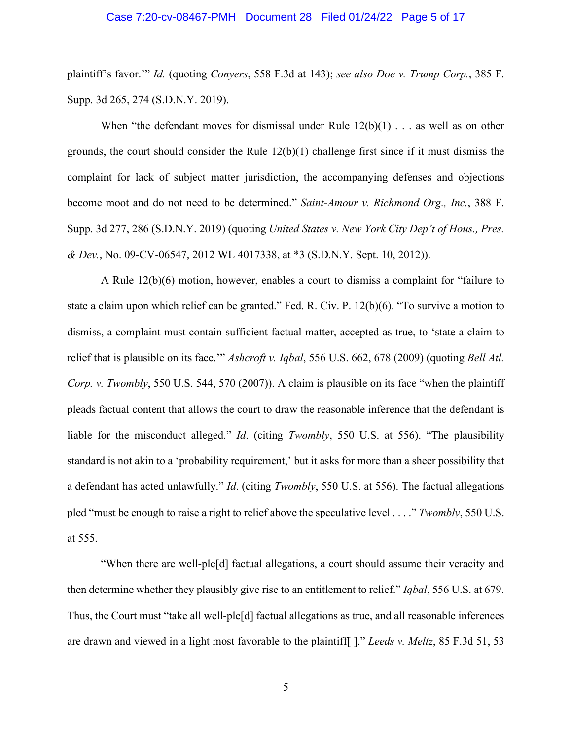#### Case 7:20-cv-08467-PMH Document 28 Filed 01/24/22 Page 5 of 17

plaintiff's favor.'" *Id.* (quoting *Conyers*, 558 F.3d at 143); *see also Doe v. Trump Corp.*, 385 F. Supp. 3d 265, 274 (S.D.N.Y. 2019).

When "the defendant moves for dismissal under Rule  $12(b)(1)$ ... as well as on other grounds, the court should consider the Rule 12(b)(1) challenge first since if it must dismiss the complaint for lack of subject matter jurisdiction, the accompanying defenses and objections become moot and do not need to be determined." *Saint-Amour v. Richmond Org., Inc.*, 388 F. Supp. 3d 277, 286 (S.D.N.Y. 2019) (quoting *United States v. New York City Dep't of Hous., Pres. & Dev.*, No. 09-CV-06547, 2012 WL 4017338, at \*3 (S.D.N.Y. Sept. 10, 2012)).

A Rule 12(b)(6) motion, however, enables a court to dismiss a complaint for "failure to state a claim upon which relief can be granted." Fed. R. Civ. P. 12(b)(6). "To survive a motion to dismiss, a complaint must contain sufficient factual matter, accepted as true, to 'state a claim to relief that is plausible on its face.'" *Ashcroft v. Iqbal*, 556 U.S. 662, 678 (2009) (quoting *Bell Atl. Corp. v. Twombly*, 550 U.S. 544, 570 (2007)). A claim is plausible on its face "when the plaintiff pleads factual content that allows the court to draw the reasonable inference that the defendant is liable for the misconduct alleged." *Id*. (citing *Twombly*, 550 U.S. at 556). "The plausibility standard is not akin to a 'probability requirement,' but it asks for more than a sheer possibility that a defendant has acted unlawfully." *Id*. (citing *Twombly*, 550 U.S. at 556). The factual allegations pled "must be enough to raise a right to relief above the speculative level . . . ." *Twombly*, 550 U.S. at 555.

"When there are well-ple[d] factual allegations, a court should assume their veracity and then determine whether they plausibly give rise to an entitlement to relief." *Iqbal*, 556 U.S. at 679. Thus, the Court must "take all well-ple[d] factual allegations as true, and all reasonable inferences are drawn and viewed in a light most favorable to the plaintiff[ ]." *Leeds v. Meltz*, 85 F.3d 51, 53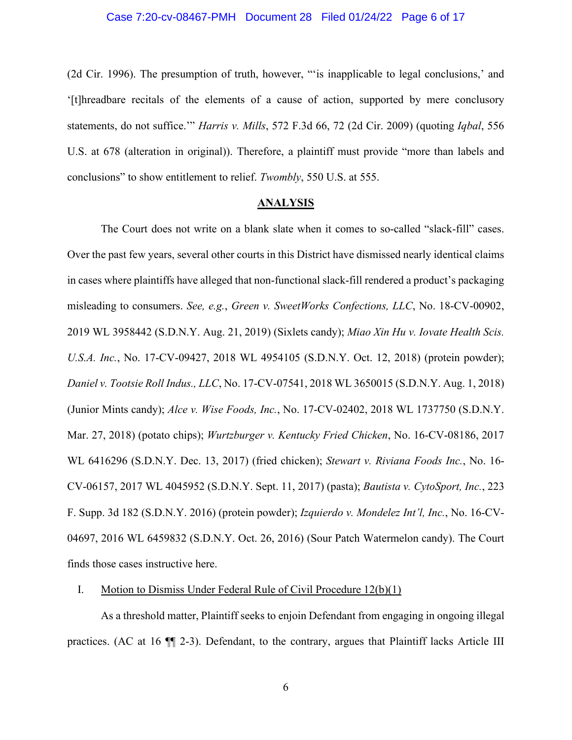#### Case 7:20-cv-08467-PMH Document 28 Filed 01/24/22 Page 6 of 17

(2d Cir. 1996). The presumption of truth, however, "'is inapplicable to legal conclusions,' and '[t]hreadbare recitals of the elements of a cause of action, supported by mere conclusory statements, do not suffice.'" *Harris v. Mills*, 572 F.3d 66, 72 (2d Cir. 2009) (quoting *Iqbal*, 556 U.S. at 678 (alteration in original)). Therefore, a plaintiff must provide "more than labels and conclusions" to show entitlement to relief. *Twombly*, 550 U.S. at 555.

### **ANALYSIS**

The Court does not write on a blank slate when it comes to so-called "slack-fill" cases. Over the past few years, several other courts in this District have dismissed nearly identical claims in cases where plaintiffs have alleged that non-functional slack-fill rendered a product's packaging misleading to consumers. *See, e.g.*, *Green v. SweetWorks Confections, LLC*, No. 18-CV-00902, 2019 WL 3958442 (S.D.N.Y. Aug. 21, 2019) (Sixlets candy); *Miao Xin Hu v. Iovate Health Scis. U.S.A. Inc.*, No. 17-CV-09427, 2018 WL 4954105 (S.D.N.Y. Oct. 12, 2018) (protein powder); *Daniel v. Tootsie Roll Indus., LLC*, No. 17-CV-07541, 2018 WL 3650015 (S.D.N.Y. Aug. 1, 2018) (Junior Mints candy); *Alce v. Wise Foods, Inc.*, No. 17-CV-02402, 2018 WL 1737750 (S.D.N.Y. Mar. 27, 2018) (potato chips); *Wurtzburger v. Kentucky Fried Chicken*, No. 16-CV-08186, 2017 WL 6416296 (S.D.N.Y. Dec. 13, 2017) (fried chicken); *Stewart v. Riviana Foods Inc.*, No. 16- CV-06157, 2017 WL 4045952 (S.D.N.Y. Sept. 11, 2017) (pasta); *Bautista v. CytoSport, Inc.*, 223 F. Supp. 3d 182 (S.D.N.Y. 2016) (protein powder); *Izquierdo v. Mondelez Int'l, Inc.*, No. 16-CV-04697, 2016 WL 6459832 (S.D.N.Y. Oct. 26, 2016) (Sour Patch Watermelon candy). The Court finds those cases instructive here.

#### I. Motion to Dismiss Under Federal Rule of Civil Procedure 12(b)(1)

As a threshold matter, Plaintiff seeks to enjoin Defendant from engaging in ongoing illegal practices. (AC at 16 ¶¶ 2-3). Defendant, to the contrary, argues that Plaintiff lacks Article III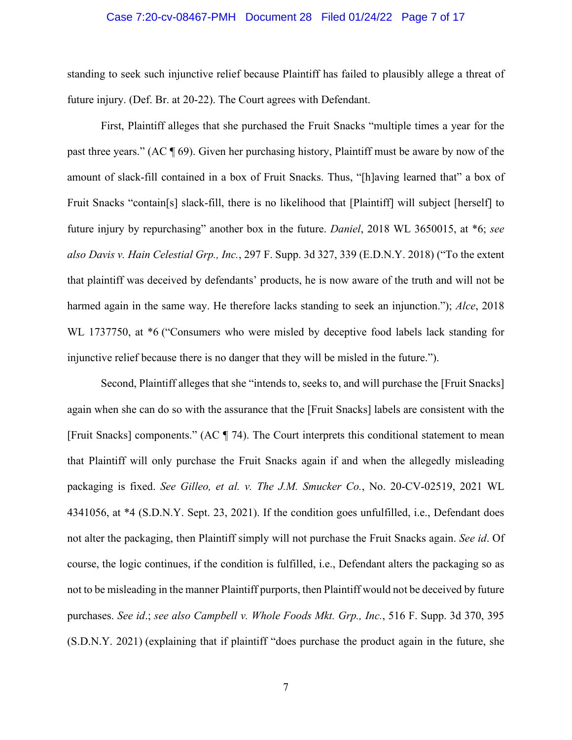#### Case 7:20-cv-08467-PMH Document 28 Filed 01/24/22 Page 7 of 17

standing to seek such injunctive relief because Plaintiff has failed to plausibly allege a threat of future injury. (Def. Br. at 20-22). The Court agrees with Defendant.

First, Plaintiff alleges that she purchased the Fruit Snacks "multiple times a year for the past three years." (AC ¶ 69). Given her purchasing history, Plaintiff must be aware by now of the amount of slack-fill contained in a box of Fruit Snacks. Thus, "[h]aving learned that" a box of Fruit Snacks "contain[s] slack-fill, there is no likelihood that [Plaintiff] will subject [herself] to future injury by repurchasing" another box in the future. *Daniel*, 2018 WL 3650015, at \*6; *see also Davis v. Hain Celestial Grp., Inc.*, 297 F. Supp. 3d 327, 339 (E.D.N.Y. 2018) ("To the extent that plaintiff was deceived by defendants' products, he is now aware of the truth and will not be harmed again in the same way. He therefore lacks standing to seek an injunction."); *Alce*, 2018 WL 1737750, at \*6 ("Consumers who were misled by deceptive food labels lack standing for injunctive relief because there is no danger that they will be misled in the future.").

Second, Plaintiff alleges that she "intends to, seeks to, and will purchase the [Fruit Snacks] again when she can do so with the assurance that the [Fruit Snacks] labels are consistent with the [Fruit Snacks] components." (AC ¶ 74). The Court interprets this conditional statement to mean that Plaintiff will only purchase the Fruit Snacks again if and when the allegedly misleading packaging is fixed. *See Gilleo, et al. v. The J.M. Smucker Co.*, No. 20-CV-02519, 2021 WL 4341056, at \*4 (S.D.N.Y. Sept. 23, 2021). If the condition goes unfulfilled, i.e., Defendant does not alter the packaging, then Plaintiff simply will not purchase the Fruit Snacks again. *See id*. Of course, the logic continues, if the condition is fulfilled, i.e., Defendant alters the packaging so as not to be misleading in the manner Plaintiff purports, then Plaintiff would not be deceived by future purchases. *See id*.; *see also Campbell v. Whole Foods Mkt. Grp., Inc.*, 516 F. Supp. 3d 370, 395 (S.D.N.Y. 2021) (explaining that if plaintiff "does purchase the product again in the future, she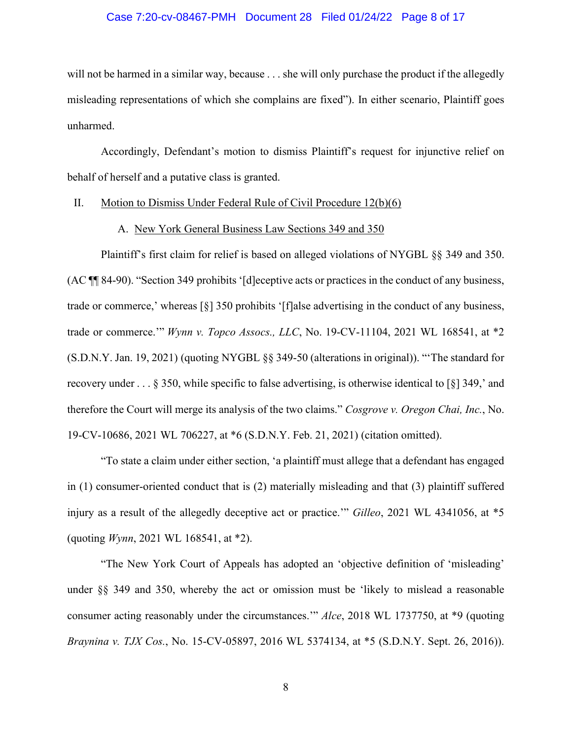#### Case 7:20-cv-08467-PMH Document 28 Filed 01/24/22 Page 8 of 17

will not be harmed in a similar way, because . . . she will only purchase the product if the allegedly misleading representations of which she complains are fixed"). In either scenario, Plaintiff goes unharmed.

Accordingly, Defendant's motion to dismiss Plaintiff's request for injunctive relief on behalf of herself and a putative class is granted.

#### II. Motion to Dismiss Under Federal Rule of Civil Procedure 12(b)(6)

#### A. New York General Business Law Sections 349 and 350

Plaintiff's first claim for relief is based on alleged violations of NYGBL §§ 349 and 350. (AC ¶¶ 84-90). "Section 349 prohibits '[d]eceptive acts or practices in the conduct of any business, trade or commerce,' whereas [§] 350 prohibits '[f]alse advertising in the conduct of any business, trade or commerce.'" *Wynn v. Topco Assocs., LLC*, No. 19-CV-11104, 2021 WL 168541, at \*2 (S.D.N.Y. Jan. 19, 2021) (quoting NYGBL §§ 349-50 (alterations in original)). "'The standard for recovery under . . . § 350, while specific to false advertising, is otherwise identical to [§] 349,' and therefore the Court will merge its analysis of the two claims." *Cosgrove v. Oregon Chai, Inc.*, No. 19-CV-10686, 2021 WL 706227, at \*6 (S.D.N.Y. Feb. 21, 2021) (citation omitted).

"To state a claim under either section, 'a plaintiff must allege that a defendant has engaged in (1) consumer-oriented conduct that is (2) materially misleading and that (3) plaintiff suffered injury as a result of the allegedly deceptive act or practice.'" *Gilleo*, 2021 WL 4341056, at \*5 (quoting *Wynn*, 2021 WL 168541, at \*2).

"The New York Court of Appeals has adopted an 'objective definition of 'misleading' under §§ 349 and 350, whereby the act or omission must be 'likely to mislead a reasonable consumer acting reasonably under the circumstances.'" *Alce*, 2018 WL 1737750, at \*9 (quoting *Braynina v. TJX Cos.*, No. 15-CV-05897, 2016 WL 5374134, at \*5 (S.D.N.Y. Sept. 26, 2016)).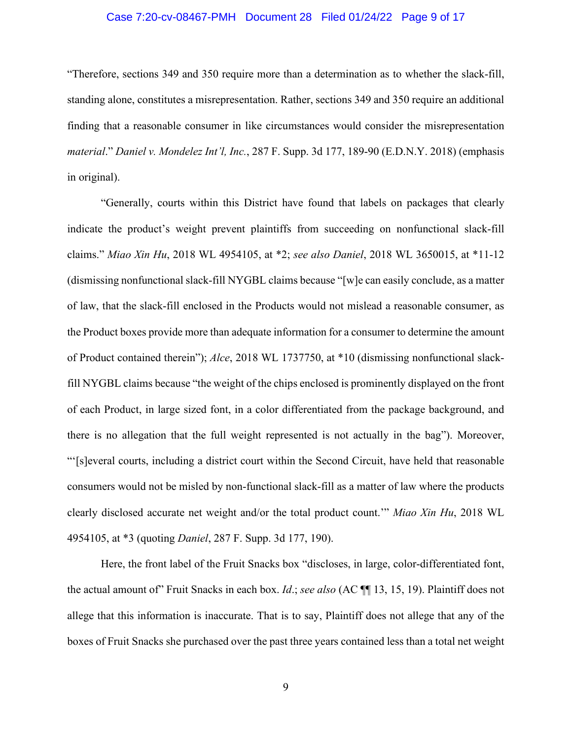#### Case 7:20-cv-08467-PMH Document 28 Filed 01/24/22 Page 9 of 17

"Therefore, sections 349 and 350 require more than a determination as to whether the slack-fill, standing alone, constitutes a misrepresentation. Rather, sections 349 and 350 require an additional finding that a reasonable consumer in like circumstances would consider the misrepresentation *material*." *Daniel v. Mondelez Int'l, Inc.*, 287 F. Supp. 3d 177, 189-90 (E.D.N.Y. 2018) (emphasis in original).

"Generally, courts within this District have found that labels on packages that clearly indicate the product's weight prevent plaintiffs from succeeding on nonfunctional slack-fill claims." *Miao Xin Hu*, 2018 WL 4954105, at \*2; *see also Daniel*, 2018 WL 3650015, at \*11-12 (dismissing nonfunctional slack-fill NYGBL claims because "[w]e can easily conclude, as a matter of law, that the slack-fill enclosed in the Products would not mislead a reasonable consumer, as the Product boxes provide more than adequate information for a consumer to determine the amount of Product contained therein"); *Alce*, 2018 WL 1737750, at \*10 (dismissing nonfunctional slackfill NYGBL claims because "the weight of the chips enclosed is prominently displayed on the front of each Product, in large sized font, in a color differentiated from the package background, and there is no allegation that the full weight represented is not actually in the bag"). Moreover, "'[s]everal courts, including a district court within the Second Circuit, have held that reasonable consumers would not be misled by non-functional slack-fill as a matter of law where the products clearly disclosed accurate net weight and/or the total product count.'" *Miao Xin Hu*, 2018 WL 4954105, at \*3 (quoting *Daniel*, 287 F. Supp. 3d 177, 190).

Here, the front label of the Fruit Snacks box "discloses, in large, color-differentiated font, the actual amount of" Fruit Snacks in each box. *Id*.; *see also* (AC ¶¶ 13, 15, 19). Plaintiff does not allege that this information is inaccurate. That is to say, Plaintiff does not allege that any of the boxes of Fruit Snacks she purchased over the past three years contained less than a total net weight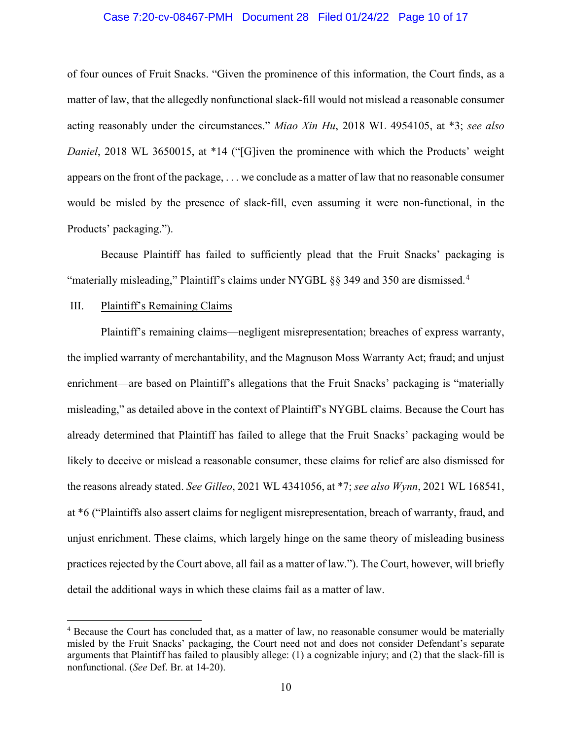#### Case 7:20-cv-08467-PMH Document 28 Filed 01/24/22 Page 10 of 17

of four ounces of Fruit Snacks. "Given the prominence of this information, the Court finds, as a matter of law, that the allegedly nonfunctional slack-fill would not mislead a reasonable consumer acting reasonably under the circumstances." *Miao Xin Hu*, 2018 WL 4954105, at \*3; *see also Daniel*, 2018 WL 3650015, at \*14 ("[G]iven the prominence with which the Products' weight appears on the front of the package, . . . we conclude as a matter of law that no reasonable consumer would be misled by the presence of slack-fill, even assuming it were non-functional, in the Products' packaging.").

Because Plaintiff has failed to sufficiently plead that the Fruit Snacks' packaging is "materially misleading," Plaintiff's claims under NYGBL  $\S$ § 3[4](#page-9-0)9 and 350 are dismissed.<sup>4</sup>

#### III. Plaintiff's Remaining Claims

Plaintiff's remaining claims—negligent misrepresentation; breaches of express warranty, the implied warranty of merchantability, and the Magnuson Moss Warranty Act; fraud; and unjust enrichment—are based on Plaintiff's allegations that the Fruit Snacks' packaging is "materially misleading," as detailed above in the context of Plaintiff's NYGBL claims. Because the Court has already determined that Plaintiff has failed to allege that the Fruit Snacks' packaging would be likely to deceive or mislead a reasonable consumer, these claims for relief are also dismissed for the reasons already stated. *See Gilleo*, 2021 WL 4341056, at \*7; *see also Wynn*, 2021 WL 168541, at \*6 ("Plaintiffs also assert claims for negligent misrepresentation, breach of warranty, fraud, and unjust enrichment. These claims, which largely hinge on the same theory of misleading business practices rejected by the Court above, all fail as a matter of law."). The Court, however, will briefly detail the additional ways in which these claims fail as a matter of law.

<span id="page-9-0"></span><sup>4</sup> Because the Court has concluded that, as a matter of law, no reasonable consumer would be materially misled by the Fruit Snacks' packaging, the Court need not and does not consider Defendant's separate arguments that Plaintiff has failed to plausibly allege: (1) a cognizable injury; and (2) that the slack-fill is nonfunctional. (*See* Def. Br. at 14-20).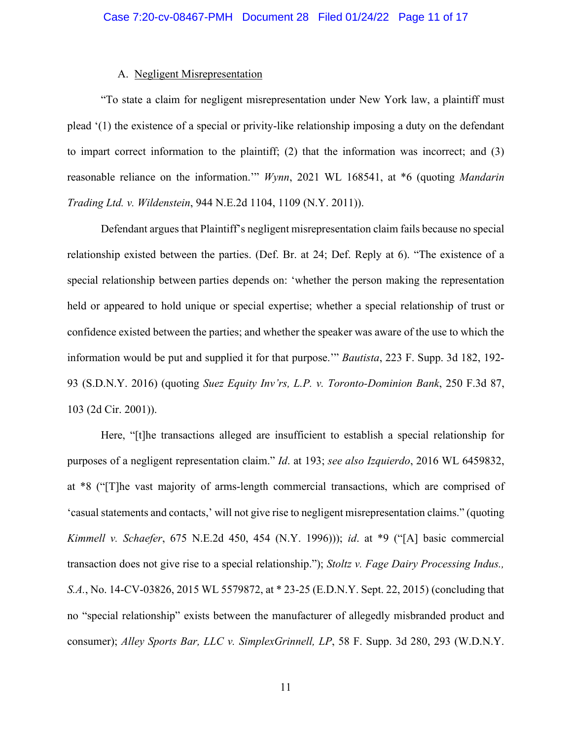### A. Negligent Misrepresentation

"To state a claim for negligent misrepresentation under New York law, a plaintiff must plead '(1) the existence of a special or privity-like relationship imposing a duty on the defendant to impart correct information to the plaintiff; (2) that the information was incorrect; and (3) reasonable reliance on the information.'" *Wynn*, 2021 WL 168541, at \*6 (quoting *Mandarin Trading Ltd. v. Wildenstein*, 944 N.E.2d 1104, 1109 (N.Y. 2011)).

Defendant argues that Plaintiff's negligent misrepresentation claim fails because no special relationship existed between the parties. (Def. Br. at 24; Def. Reply at 6). "The existence of a special relationship between parties depends on: 'whether the person making the representation held or appeared to hold unique or special expertise; whether a special relationship of trust or confidence existed between the parties; and whether the speaker was aware of the use to which the information would be put and supplied it for that purpose.'" *Bautista*, 223 F. Supp. 3d 182, 192- 93 (S.D.N.Y. 2016) (quoting *Suez Equity Inv'rs, L.P. v. Toronto-Dominion Bank*, 250 F.3d 87, 103 (2d Cir. 2001)).

Here, "[t]he transactions alleged are insufficient to establish a special relationship for purposes of a negligent representation claim." *Id*. at 193; *see also Izquierdo*, 2016 WL 6459832, at \*8 ("[T]he vast majority of arms-length commercial transactions, which are comprised of 'casual statements and contacts,' will not give rise to negligent misrepresentation claims." (quoting *Kimmell v. Schaefer*, 675 N.E.2d 450, 454 (N.Y. 1996))); *id*. at \*9 ("[A] basic commercial transaction does not give rise to a special relationship."); *Stoltz v. Fage Dairy Processing Indus., S.A.*, No. 14-CV-03826, 2015 WL 5579872, at \* 23-25 (E.D.N.Y. Sept. 22, 2015) (concluding that no "special relationship" exists between the manufacturer of allegedly misbranded product and consumer); *Alley Sports Bar, LLC v. SimplexGrinnell, LP*, 58 F. Supp. 3d 280, 293 (W.D.N.Y.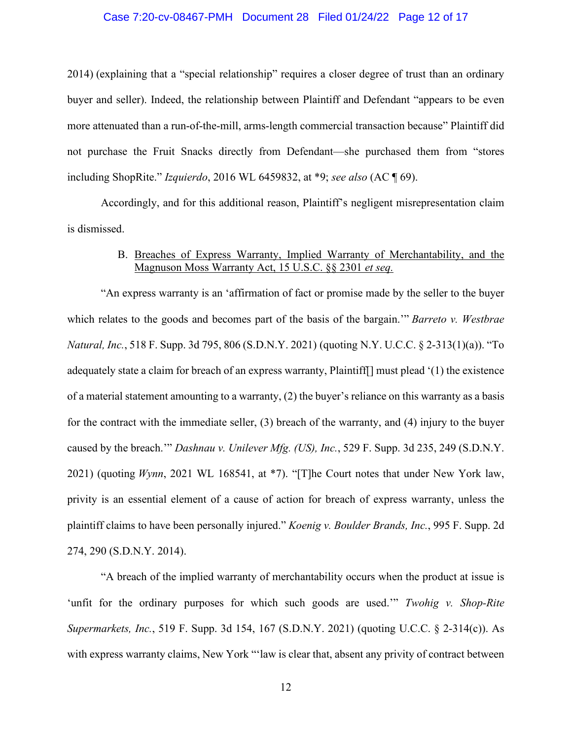#### Case 7:20-cv-08467-PMH Document 28 Filed 01/24/22 Page 12 of 17

2014) (explaining that a "special relationship" requires a closer degree of trust than an ordinary buyer and seller). Indeed, the relationship between Plaintiff and Defendant "appears to be even more attenuated than a run-of-the-mill, arms-length commercial transaction because" Plaintiff did not purchase the Fruit Snacks directly from Defendant—she purchased them from "stores including ShopRite." *Izquierdo*, 2016 WL 6459832, at \*9; *see also* (AC ¶ 69).

Accordingly, and for this additional reason, Plaintiff's negligent misrepresentation claim is dismissed.

# B. Breaches of Express Warranty, Implied Warranty of Merchantability, and the Magnuson Moss Warranty Act, 15 U.S.C. §§ 2301 *et seq.*

"An express warranty is an 'affirmation of fact or promise made by the seller to the buyer which relates to the goods and becomes part of the basis of the bargain.'" *Barreto v. Westbrae Natural, Inc.*, 518 F. Supp. 3d 795, 806 (S.D.N.Y. 2021) (quoting N.Y. U.C.C. § 2-313(1)(a)). "To adequately state a claim for breach of an express warranty, Plaintiff[] must plead '(1) the existence of a material statement amounting to a warranty, (2) the buyer's reliance on this warranty as a basis for the contract with the immediate seller, (3) breach of the warranty, and (4) injury to the buyer caused by the breach.'" *Dashnau v. Unilever Mfg. (US), Inc.*, 529 F. Supp. 3d 235, 249 (S.D.N.Y. 2021) (quoting *Wynn*, 2021 WL 168541, at \*7). "[T]he Court notes that under New York law, privity is an essential element of a cause of action for breach of express warranty, unless the plaintiff claims to have been personally injured." *Koenig v. Boulder Brands, Inc.*, 995 F. Supp. 2d 274, 290 (S.D.N.Y. 2014).

"A breach of the implied warranty of merchantability occurs when the product at issue is 'unfit for the ordinary purposes for which such goods are used.'" *Twohig v. Shop-Rite Supermarkets, Inc.*, 519 F. Supp. 3d 154, 167 (S.D.N.Y. 2021) (quoting U.C.C. § 2-314(c)). As with express warranty claims, New York "'law is clear that, absent any privity of contract between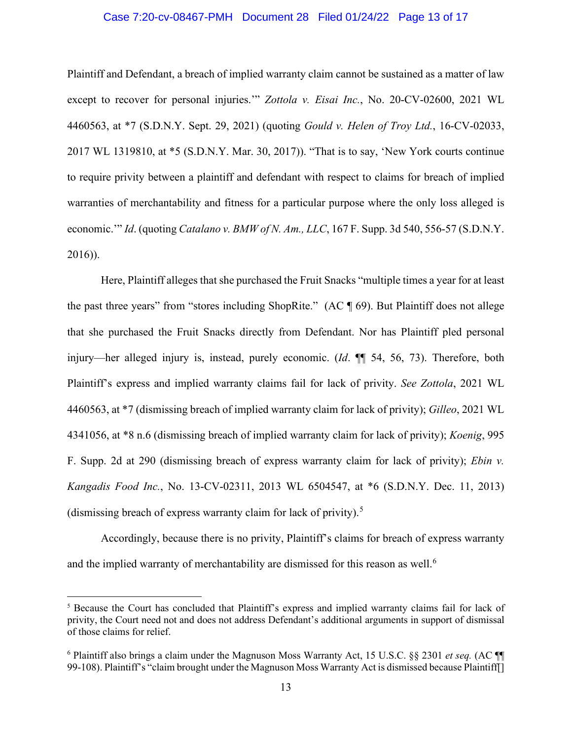#### Case 7:20-cv-08467-PMH Document 28 Filed 01/24/22 Page 13 of 17

Plaintiff and Defendant, a breach of implied warranty claim cannot be sustained as a matter of law except to recover for personal injuries.'" *Zottola v. Eisai Inc.*, No. 20-CV-02600, 2021 WL 4460563, at \*7 (S.D.N.Y. Sept. 29, 2021) (quoting *Gould v. Helen of Troy Ltd.*, 16-CV-02033, 2017 WL 1319810, at \*5 (S.D.N.Y. Mar. 30, 2017)). "That is to say, 'New York courts continue to require privity between a plaintiff and defendant with respect to claims for breach of implied warranties of merchantability and fitness for a particular purpose where the only loss alleged is economic.'" *Id*. (quoting *Catalano v. BMW of N. Am., LLC*, 167 F. Supp. 3d 540, 556-57 (S.D.N.Y. 2016)).

Here, Plaintiff alleges that she purchased the Fruit Snacks "multiple times a year for at least the past three years" from "stores including ShopRite." (AC ¶ 69). But Plaintiff does not allege that she purchased the Fruit Snacks directly from Defendant. Nor has Plaintiff pled personal injury—her alleged injury is, instead, purely economic. (*Id*. ¶¶ 54, 56, 73). Therefore, both Plaintiff's express and implied warranty claims fail for lack of privity. *See Zottola*, 2021 WL 4460563, at \*7 (dismissing breach of implied warranty claim for lack of privity); *Gilleo*, 2021 WL 4341056, at \*8 n.6 (dismissing breach of implied warranty claim for lack of privity); *Koenig*, 995 F. Supp. 2d at 290 (dismissing breach of express warranty claim for lack of privity); *Ebin v. Kangadis Food Inc.*, No. 13-CV-02311, 2013 WL 6504547, at \*6 (S.D.N.Y. Dec. 11, 2013) (dismissing breach of express warranty claim for lack of privity). [5](#page-12-0)

Accordingly, because there is no privity, Plaintiff's claims for breach of express warranty and the implied warranty of merchantability are dismissed for this reason as well.<sup>[6](#page-12-1)</sup>

<span id="page-12-0"></span><sup>5</sup> Because the Court has concluded that Plaintiff's express and implied warranty claims fail for lack of privity, the Court need not and does not address Defendant's additional arguments in support of dismissal of those claims for relief.

<span id="page-12-1"></span><sup>6</sup> Plaintiff also brings a claim under the Magnuson Moss Warranty Act, 15 U.S.C. §§ 2301 *et seq.* (AC ¶¶ 99-108). Plaintiff's "claim brought under the Magnuson Moss Warranty Act is dismissed because Plaintiff[]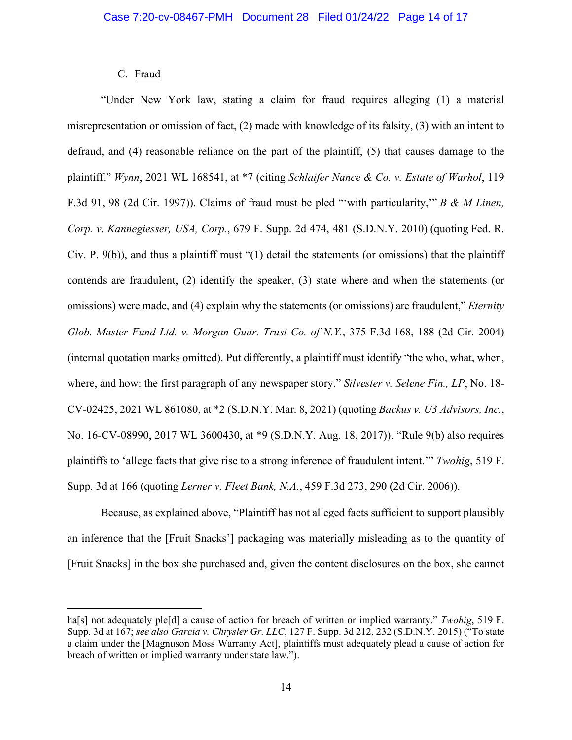### C. Fraud

"Under New York law, stating a claim for fraud requires alleging (1) a material misrepresentation or omission of fact, (2) made with knowledge of its falsity, (3) with an intent to defraud, and (4) reasonable reliance on the part of the plaintiff, (5) that causes damage to the plaintiff." *Wynn*, 2021 WL 168541, at \*7 (citing *Schlaifer Nance & Co. v. Estate of Warhol*, 119 F.3d 91, 98 (2d Cir. 1997)). Claims of fraud must be pled "'with particularity,'" *B & M Linen, Corp. v. Kannegiesser, USA, Corp.*, 679 F. Supp. 2d 474, 481 (S.D.N.Y. 2010) (quoting Fed. R. Civ. P. 9(b)), and thus a plaintiff must "(1) detail the statements (or omissions) that the plaintiff contends are fraudulent, (2) identify the speaker, (3) state where and when the statements (or omissions) were made, and (4) explain why the statements (or omissions) are fraudulent," *Eternity Glob. Master Fund Ltd. v. Morgan Guar. Trust Co. of N.Y.*, 375 F.3d 168, 188 (2d Cir. 2004) (internal quotation marks omitted). Put differently, a plaintiff must identify "the who, what, when, where, and how: the first paragraph of any newspaper story." *Silvester v. Selene Fin., LP*, No. 18- CV-02425, 2021 WL 861080, at \*2 (S.D.N.Y. Mar. 8, 2021) (quoting *Backus v. U3 Advisors, Inc.*, No. 16-CV-08990, 2017 WL 3600430, at \*9 (S.D.N.Y. Aug. 18, 2017)). "Rule 9(b) also requires plaintiffs to 'allege facts that give rise to a strong inference of fraudulent intent.'" *Twohig*, 519 F. Supp. 3d at 166 (quoting *Lerner v. Fleet Bank, N.A.*, 459 F.3d 273, 290 (2d Cir. 2006)).

Because, as explained above, "Plaintiff has not alleged facts sufficient to support plausibly an inference that the [Fruit Snacks'] packaging was materially misleading as to the quantity of [Fruit Snacks] in the box she purchased and, given the content disclosures on the box, she cannot

ha[s] not adequately ple[d] a cause of action for breach of written or implied warranty." *Twohig*, 519 F. Supp. 3d at 167; *see also Garcia v. Chrysler Gr. LLC*, 127 F. Supp. 3d 212, 232 (S.D.N.Y. 2015) ("To state a claim under the [Magnuson Moss Warranty Act], plaintiffs must adequately plead a cause of action for breach of written or implied warranty under state law.").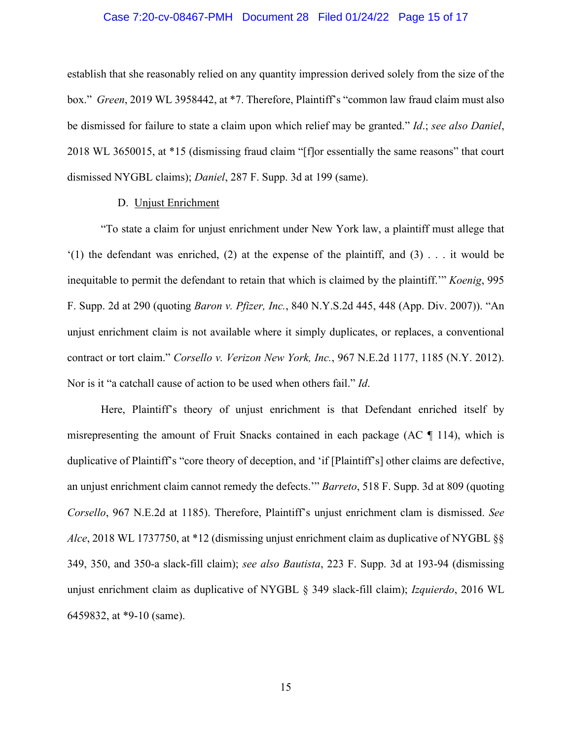#### Case 7:20-cv-08467-PMH Document 28 Filed 01/24/22 Page 15 of 17

establish that she reasonably relied on any quantity impression derived solely from the size of the box." *Green*, 2019 WL 3958442, at \*7. Therefore, Plaintiff's "common law fraud claim must also be dismissed for failure to state a claim upon which relief may be granted." *Id*.; *see also Daniel*, 2018 WL 3650015, at \*15 (dismissing fraud claim "[f]or essentially the same reasons" that court dismissed NYGBL claims); *Daniel*, 287 F. Supp. 3d at 199 (same).

### D. Unjust Enrichment

"To state a claim for unjust enrichment under New York law, a plaintiff must allege that  $(1)$  the defendant was enriched, (2) at the expense of the plaintiff, and (3) . . . it would be inequitable to permit the defendant to retain that which is claimed by the plaintiff.'" *Koenig*, 995 F. Supp. 2d at 290 (quoting *Baron v. Pfizer, Inc.*, 840 N.Y.S.2d 445, 448 (App. Div. 2007)). "An unjust enrichment claim is not available where it simply duplicates, or replaces, a conventional contract or tort claim." *Corsello v. Verizon New York, Inc.*, 967 N.E.2d 1177, 1185 (N.Y. 2012). Nor is it "a catchall cause of action to be used when others fail." *Id*.

Here, Plaintiff's theory of unjust enrichment is that Defendant enriched itself by misrepresenting the amount of Fruit Snacks contained in each package (AC ¶ 114), which is duplicative of Plaintiff's "core theory of deception, and 'if [Plaintiff's] other claims are defective, an unjust enrichment claim cannot remedy the defects.'" *Barreto*, 518 F. Supp. 3d at 809 (quoting *Corsello*, 967 N.E.2d at 1185). Therefore, Plaintiff's unjust enrichment clam is dismissed. *See Alce*, 2018 WL 1737750, at \*12 (dismissing unjust enrichment claim as duplicative of NYGBL §§ 349, 350, and 350-a slack-fill claim); *see also Bautista*, 223 F. Supp. 3d at 193-94 (dismissing unjust enrichment claim as duplicative of NYGBL § 349 slack-fill claim); *Izquierdo*, 2016 WL 6459832, at \*9-10 (same).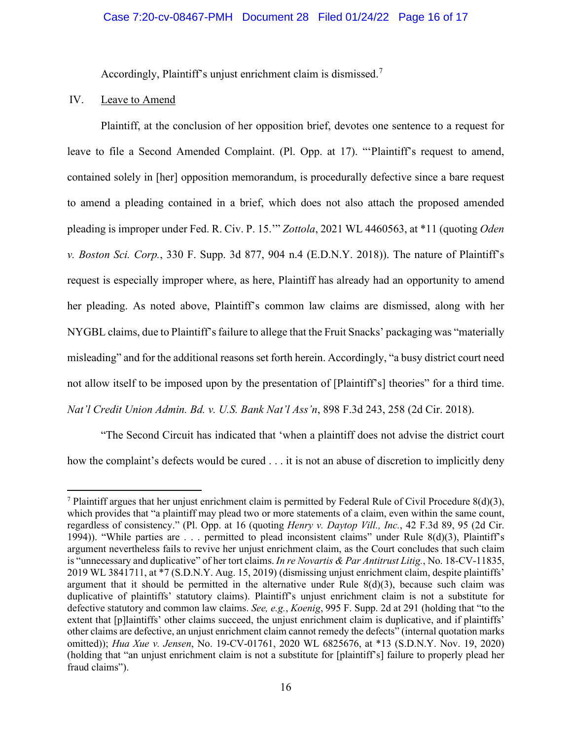Accordingly, Plaintiff's unjust enrichment claim is dismissed.<sup>[7](#page-15-0)</sup>

## IV. Leave to Amend

Plaintiff, at the conclusion of her opposition brief, devotes one sentence to a request for leave to file a Second Amended Complaint. (Pl. Opp. at 17). "'Plaintiff's request to amend, contained solely in [her] opposition memorandum, is procedurally defective since a bare request to amend a pleading contained in a brief, which does not also attach the proposed amended pleading is improper under Fed. R. Civ. P. 15.'" *Zottola*, 2021 WL 4460563, at \*11 (quoting *Oden v. Boston Sci. Corp.*, 330 F. Supp. 3d 877, 904 n.4 (E.D.N.Y. 2018)). The nature of Plaintiff's request is especially improper where, as here, Plaintiff has already had an opportunity to amend her pleading. As noted above, Plaintiff's common law claims are dismissed, along with her NYGBL claims, due to Plaintiff's failure to allege that the Fruit Snacks' packaging was "materially misleading" and for the additional reasons set forth herein. Accordingly, "a busy district court need not allow itself to be imposed upon by the presentation of [Plaintiff's] theories" for a third time. *Nat'l Credit Union Admin. Bd. v. U.S. Bank Nat'l Ass'n*, 898 F.3d 243, 258 (2d Cir. 2018).

"The Second Circuit has indicated that 'when a plaintiff does not advise the district court how the complaint's defects would be cured . . . it is not an abuse of discretion to implicitly deny

<span id="page-15-0"></span><sup>&</sup>lt;sup>7</sup> Plaintiff argues that her unjust enrichment claim is permitted by Federal Rule of Civil Procedure  $8(d)(3)$ , which provides that "a plaintiff may plead two or more statements of a claim, even within the same count, regardless of consistency." (Pl. Opp. at 16 (quoting *Henry v. Daytop Vill., Inc.*, 42 F.3d 89, 95 (2d Cir. 1994)). "While parties are . . . permitted to plead inconsistent claims" under Rule 8(d)(3), Plaintiff's argument nevertheless fails to revive her unjust enrichment claim, as the Court concludes that such claim is "unnecessary and duplicative" of her tort claims. *In re Novartis & Par Antitrust Litig.*, No. 18-CV-11835, 2019 WL 3841711, at \*7 (S.D.N.Y. Aug. 15, 2019) (dismissing unjust enrichment claim, despite plaintiffs' argument that it should be permitted in the alternative under Rule  $8(d)(3)$ , because such claim was duplicative of plaintiffs' statutory claims). Plaintiff's unjust enrichment claim is not a substitute for defective statutory and common law claims. *See, e.g.*, *Koenig*, 995 F. Supp. 2d at 291 (holding that "to the extent that [p]laintiffs' other claims succeed, the unjust enrichment claim is duplicative, and if plaintiffs' other claims are defective, an unjust enrichment claim cannot remedy the defects" (internal quotation marks omitted)); *Hua Xue v. Jensen*, No. 19-CV-01761, 2020 WL 6825676, at \*13 (S.D.N.Y. Nov. 19, 2020) (holding that "an unjust enrichment claim is not a substitute for [plaintiff's] failure to properly plead her fraud claims").